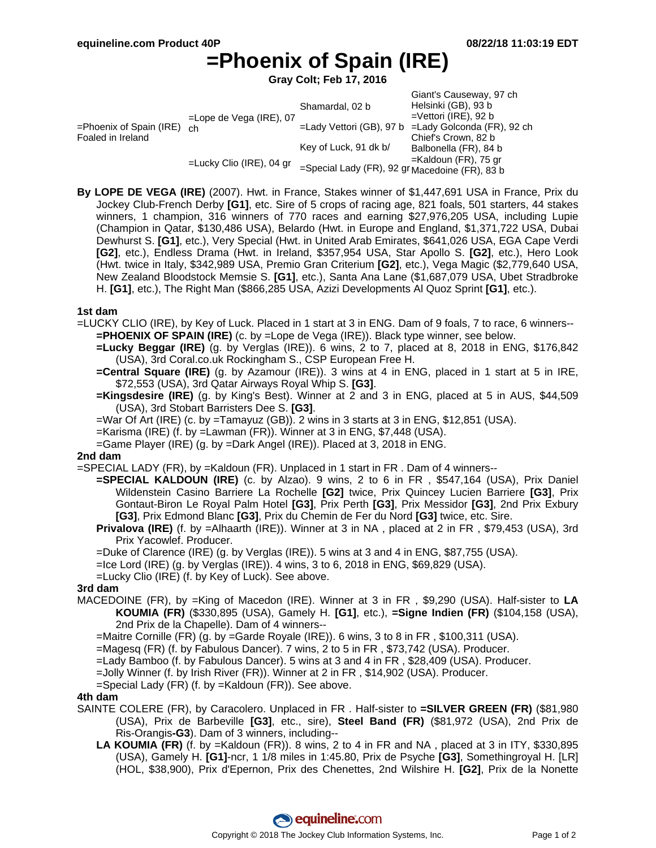# **=Phoenix of Spain (IRE)**

**Gray Colt; Feb 17, 2016**

|                                                 |                                  | Shamardal, 02 b                                | Giant's Causeway, 97 ch<br>Helsinki (GB), 93 b |
|-------------------------------------------------|----------------------------------|------------------------------------------------|------------------------------------------------|
| $=$ Phoenix of Spain (IRE)<br>Foaled in Ireland | $=$ Lope de Vega (IRE), 07<br>ch |                                                | $=$ Vettori (IRE), 92 b                        |
|                                                 |                                  | =Lady Vettori (GB), 97 b                       | =Lady Golconda (FR), 92 ch                     |
|                                                 |                                  |                                                | Chief's Crown, 82 b                            |
|                                                 | $=$ Lucky Clio (IRE), 04 gr      | Key of Luck, 91 dk b/                          | Balbonella (FR), 84 b                          |
|                                                 |                                  |                                                | $=$ Kaldoun (FR), 75 gr                        |
|                                                 |                                  | =Special Lady (FR), 92 gr Macedoine (FR), 83 b |                                                |

**By LOPE DE VEGA (IRE)** (2007). Hwt. in France, Stakes winner of \$1,447,691 USA in France, Prix du Jockey Club-French Derby **[G1]**, etc. Sire of 5 crops of racing age, 821 foals, 501 starters, 44 stakes winners, 1 champion, 316 winners of 770 races and earning \$27,976,205 USA, including Lupie (Champion in Qatar, \$130,486 USA), Belardo (Hwt. in Europe and England, \$1,371,722 USA, Dubai Dewhurst S. **[G1]**, etc.), Very Special (Hwt. in United Arab Emirates, \$641,026 USA, EGA Cape Verdi **[G2]**, etc.), Endless Drama (Hwt. in Ireland, \$357,954 USA, Star Apollo S. **[G2]**, etc.), Hero Look (Hwt. twice in Italy, \$342,989 USA, Premio Gran Criterium **[G2]**, etc.), Vega Magic (\$2,779,640 USA, New Zealand Bloodstock Memsie S. **[G1]**, etc.), Santa Ana Lane (\$1,687,079 USA, Ubet Stradbroke H. **[G1]**, etc.), The Right Man (\$866,285 USA, Azizi Developments Al Quoz Sprint **[G1]**, etc.).

## **1st dam**

=LUCKY CLIO (IRE), by Key of Luck. Placed in 1 start at 3 in ENG. Dam of 9 foals, 7 to race, 6 winners-- **=PHOENIX OF SPAIN (IRE)** (c. by =Lope de Vega (IRE)). Black type winner, see below.

**=Lucky Beggar (IRE)** (g. by Verglas (IRE)). 6 wins, 2 to 7, placed at 8, 2018 in ENG, \$176,842 (USA), 3rd Coral.co.uk Rockingham S., CSP European Free H.

**=Central Square (IRE)** (g. by Azamour (IRE)). 3 wins at 4 in ENG, placed in 1 start at 5 in IRE, \$72,553 (USA), 3rd Qatar Airways Royal Whip S. **[G3]**.

**=Kingsdesire (IRE)** (g. by King's Best). Winner at 2 and 3 in ENG, placed at 5 in AUS, \$44,509 (USA), 3rd Stobart Barristers Dee S. **[G3]**.

=War Of Art (IRE) (c. by =Tamayuz (GB)). 2 wins in 3 starts at 3 in ENG, \$12,851 (USA).

- =Karisma (IRE) (f. by =Lawman (FR)). Winner at 3 in ENG, \$7,448 (USA).
- =Game Player (IRE) (g. by =Dark Angel (IRE)). Placed at 3, 2018 in ENG.

#### **2nd dam**

=SPECIAL LADY (FR), by =Kaldoun (FR). Unplaced in 1 start in FR . Dam of 4 winners--

- **=SPECIAL KALDOUN (IRE)** (c. by Alzao). 9 wins, 2 to 6 in FR , \$547,164 (USA), Prix Daniel Wildenstein Casino Barriere La Rochelle **[G2]** twice, Prix Quincey Lucien Barriere **[G3]**, Prix Gontaut-Biron Le Royal Palm Hotel **[G3]**, Prix Perth **[G3]**, Prix Messidor **[G3]**, 2nd Prix Exbury **[G3]**, Prix Edmond Blanc **[G3]**, Prix du Chemin de Fer du Nord **[G3]** twice, etc. Sire.
- **Privalova (IRE)** (f. by =Alhaarth (IRE)). Winner at 3 in NA , placed at 2 in FR , \$79,453 (USA), 3rd Prix Yacowlef. Producer.

=Duke of Clarence (IRE) (g. by Verglas (IRE)). 5 wins at 3 and 4 in ENG, \$87,755 (USA).

=Ice Lord (IRE) (g. by Verglas (IRE)). 4 wins, 3 to 6, 2018 in ENG, \$69,829 (USA).

=Lucky Clio (IRE) (f. by Key of Luck). See above.

## **3rd dam**

MACEDOINE (FR), by =King of Macedon (IRE). Winner at 3 in FR , \$9,290 (USA). Half-sister to **LA KOUMIA (FR)** (\$330,895 (USA), Gamely H. **[G1]**, etc.), **=Signe Indien (FR)** (\$104,158 (USA), 2nd Prix de la Chapelle). Dam of 4 winners--

=Maitre Cornille (FR) (g. by =Garde Royale (IRE)). 6 wins, 3 to 8 in FR , \$100,311 (USA).

=Magesq (FR) (f. by Fabulous Dancer). 7 wins, 2 to 5 in FR , \$73,742 (USA). Producer.

=Lady Bamboo (f. by Fabulous Dancer). 5 wins at 3 and 4 in FR , \$28,409 (USA). Producer.

=Jolly Winner (f. by Irish River (FR)). Winner at 2 in FR , \$14,902 (USA). Producer.

=Special Lady (FR) (f. by =Kaldoun (FR)). See above.

#### **4th dam**

- SAINTE COLERE (FR), by Caracolero. Unplaced in FR . Half-sister to **=SILVER GREEN (FR)** (\$81,980 (USA), Prix de Barbeville **[G3]**, etc., sire), **Steel Band (FR)** (\$81,972 (USA), 2nd Prix de Ris-Orangis**-G3**). Dam of 3 winners, including--
	- **LA KOUMIA (FR)** (f. by =Kaldoun (FR)). 8 wins, 2 to 4 in FR and NA , placed at 3 in ITY, \$330,895 (USA), Gamely H. **[G1]**-ncr, 1 1/8 miles in 1:45.80, Prix de Psyche **[G3]**, Somethingroyal H. [LR] (HOL, \$38,900), Prix d'Epernon, Prix des Chenettes, 2nd Wilshire H. **[G2]**, Prix de la Nonette